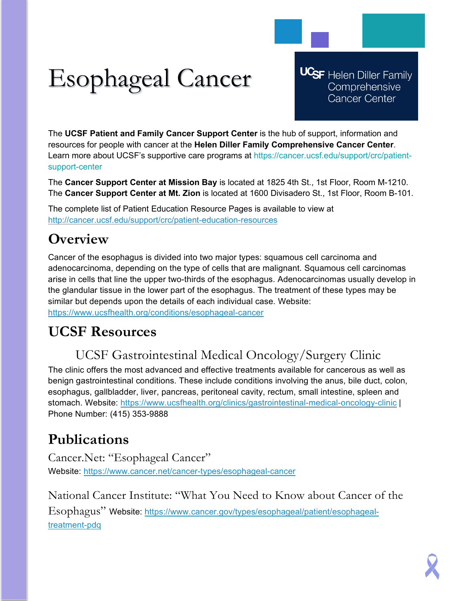# Esophageal Cancer

**UCSF** Helen Diller Family Comprehensive **Cancer Center** 

The **UCSF Patient and Family Cancer Support Center** is the hub of support, information and resources for people with cancer at the **Helen Diller Family Comprehensive Cancer Center**. Learn more about UCSF's supportive care programs at https://cancer.ucsf.edu/support/crc/patientsupport-center

The **Cancer Support Center at Mission Bay** is located at 1825 4th St., 1st Floor, Room M-1210. The **Cancer Support Center at Mt. Zion** is located at 1600 Divisadero St., 1st Floor, Room B-101.

The complete list of Patient Education Resource Pages is available to view at <http://cancer.ucsf.edu/support/crc/patient-education-resources>

## **Overview**

Cancer of the esophagus is divided into two major types: squamous cell carcinoma and adenocarcinoma, depending on the type of cells that are malignant. Squamous cell carcinomas arise in cells that line the upper two-thirds of the esophagus. Adenocarcinomas usually develop in the glandular tissue in the lower part of the esophagus. The treatment of these types may be similar but depends upon the details of each individual case. Website: <https://www.ucsfhealth.org/conditions/esophageal-cancer>

## **UCSF Resources**

## UCSF Gastrointestinal Medical Oncology/Surgery Clinic

The clinic offers the most advanced and effective treatments available for cancerous as well as benign gastrointestinal conditions. These include conditions involving the anus, bile duct, colon, esophagus, gallbladder, liver, pancreas, peritoneal cavity, rectum, small intestine, spleen and stomach. Website:<https://www.ucsfhealth.org/clinics/gastrointestinal-medical-oncology-clinic> | Phone Number: (415) 353-9888

## **Publications**

Cancer.Net: "Esophageal Cancer" Website:<https://www.cancer.net/cancer-types/esophageal-cancer>

National Cancer Institute: "What You Need to Know about Cancer of the Esophagus" Website: [https://www.cancer.gov/types/esophageal/patient/esophageal](https://www.cancer.gov/types/esophageal/patient/esophageal-treatment-pdq)[treatment-pdq](https://www.cancer.gov/types/esophageal/patient/esophageal-treatment-pdq)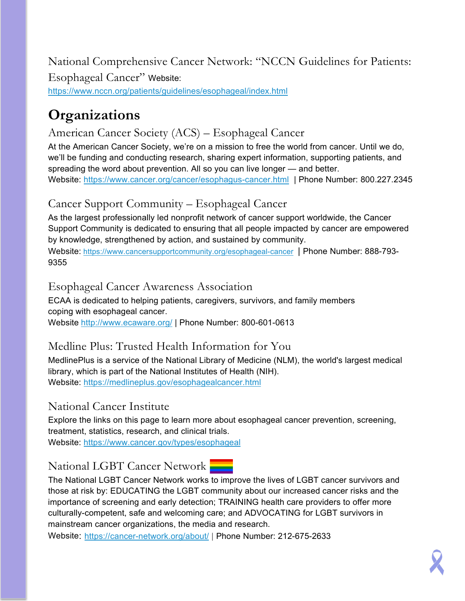National Comprehensive Cancer Network: "NCCN Guidelines for Patients: Esophageal Cancer" Website: <https://www.nccn.org/patients/guidelines/esophageal/index.html>

## **Organizations**

#### American Cancer Society (ACS) – Esophageal Cancer

At the American Cancer Society, we're on a mission to free the world from cancer. Until we do, we'll be funding and conducting research, sharing expert information, supporting patients, and spreading the word about prevention. All so you can live longer — and better. Website:<https://www.cancer.org/cancer/esophagus-cancer.html> | Phone Number: 800.227.2345

#### Cancer Support Community – Esophageal Cancer

As the largest professionally led nonprofit network of cancer support worldwide, the Cancer Support Community is dedicated to ensuring that all people impacted by cancer are empowered by knowledge, strengthened by action, and sustained by community.

Website: <https://www.cancersupportcommunity.org/esophageal-cancer>| Phone Number: 888-793- 9355

#### Esophageal Cancer Awareness Association

ECAA is dedicated to helping patients, caregivers, survivors, and family members coping with esophageal cancer. Website <http://www.ecaware.org/> | Phone Number: 800-601-0613

#### Medline Plus: Trusted Health Information for You

MedlinePlus is a service of the National Library of Medicine (NLM), the world's largest medical library, which is part of the National Institutes of Health (NIH). Website:<https://medlineplus.gov/esophagealcancer.html>

#### National Cancer Institute

Explore the links on this page to learn more about esophageal cancer prevention, screening, treatment, statistics, research, and clinical trials.

Website:<https://www.cancer.gov/types/esophageal>

### National LGBT Cancer Network

The National LGBT Cancer Network works to improve the lives of LGBT cancer survivors and those at risk by: EDUCATING the LGBT community about our increased cancer risks and the importance of screening and early detection; TRAINING health care providers to offer more culturally-competent, safe and welcoming care; and ADVOCATING for LGBT survivors in mainstream cancer organizations, the media and research.

Website: <https://cancer-network.org/about/> | Phone Number: 212-675-2633